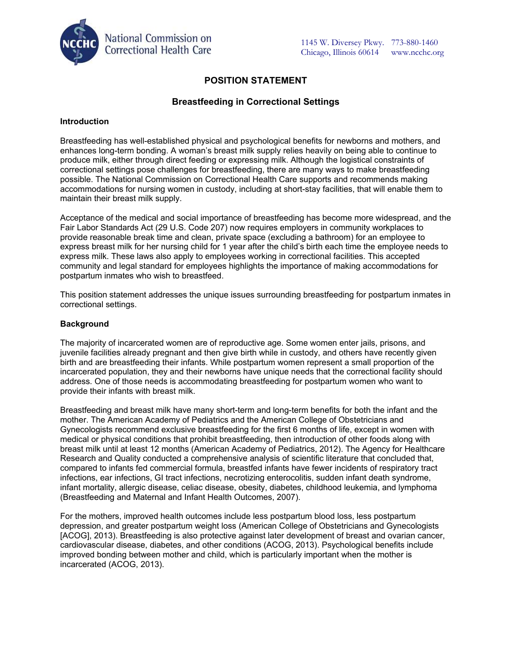

# **POSITION STATEMENT**

## **Breastfeeding in Correctional Settings**

#### **Introduction**

Breastfeeding has well-established physical and psychological benefits for newborns and mothers, and enhances long-term bonding. A woman's breast milk supply relies heavily on being able to continue to produce milk, either through direct feeding or expressing milk. Although the logistical constraints of correctional settings pose challenges for breastfeeding, there are many ways to make breastfeeding possible. The National Commission on Correctional Health Care supports and recommends making accommodations for nursing women in custody, including at short-stay facilities, that will enable them to maintain their breast milk supply.

Acceptance of the medical and social importance of breastfeeding has become more widespread, and the Fair Labor Standards Act (29 U.S. Code 207) now requires employers in community workplaces to provide reasonable break time and clean, private space (excluding a bathroom) for an employee to express breast milk for her nursing child for 1 year after the child's birth each time the employee needs to express milk. These laws also apply to employees working in correctional facilities. This accepted community and legal standard for employees highlights the importance of making accommodations for postpartum inmates who wish to breastfeed.

This position statement addresses the unique issues surrounding breastfeeding for postpartum inmates in correctional settings.

#### **Background**

The majority of incarcerated women are of reproductive age. Some women enter jails, prisons, and juvenile facilities already pregnant and then give birth while in custody, and others have recently given birth and are breastfeeding their infants. While postpartum women represent a small proportion of the incarcerated population, they and their newborns have unique needs that the correctional facility should address. One of those needs is accommodating breastfeeding for postpartum women who want to provide their infants with breast milk.

Breastfeeding and breast milk have many short-term and long-term benefits for both the infant and the mother. The American Academy of Pediatrics and the American College of Obstetricians and Gynecologists recommend exclusive breastfeeding for the first 6 months of life, except in women with medical or physical conditions that prohibit breastfeeding, then introduction of other foods along with breast milk until at least 12 months (American Academy of Pediatrics, 2012). The Agency for Healthcare Research and Quality conducted a comprehensive analysis of scientific literature that concluded that, compared to infants fed commercial formula, breastfed infants have fewer incidents of respiratory tract infections, ear infections, GI tract infections, necrotizing enterocolitis, sudden infant death syndrome, infant mortality, allergic disease, celiac disease, obesity, diabetes, childhood leukemia, and lymphoma (Breastfeeding and Maternal and Infant Health Outcomes, 2007).

For the mothers, improved health outcomes include less postpartum blood loss, less postpartum depression, and greater postpartum weight loss (American College of Obstetricians and Gynecologists [ACOG], 2013). Breastfeeding is also protective against later development of breast and ovarian cancer, cardiovascular disease, diabetes, and other conditions (ACOG, 2013). Psychological benefits include improved bonding between mother and child, which is particularly important when the mother is incarcerated (ACOG, 2013).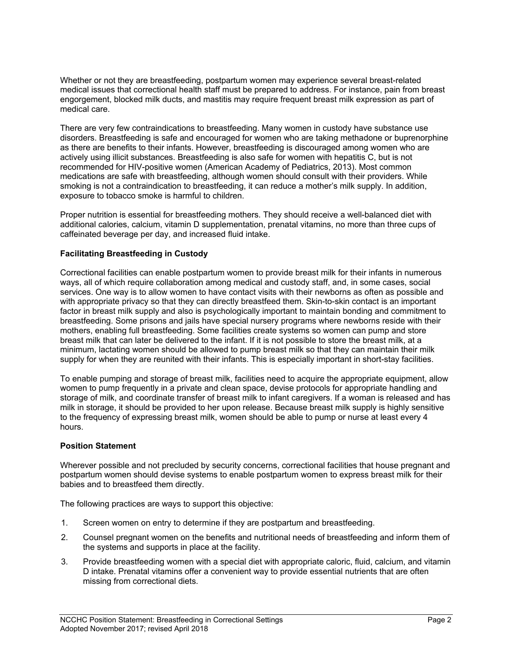Whether or not they are breastfeeding, postpartum women may experience several breast-related medical issues that correctional health staff must be prepared to address. For instance, pain from breast engorgement, blocked milk ducts, and mastitis may require frequent breast milk expression as part of medical care.

There are very few contraindications to breastfeeding. Many women in custody have substance use disorders. Breastfeeding is safe and encouraged for women who are taking methadone or buprenorphine as there are benefits to their infants. However, breastfeeding is discouraged among women who are actively using illicit substances. Breastfeeding is also safe for women with hepatitis C, but is not recommended for HIV-positive women (American Academy of Pediatrics, 2013). Most common medications are safe with breastfeeding, although women should consult with their providers. While smoking is not a contraindication to breastfeeding, it can reduce a mother's milk supply. In addition, exposure to tobacco smoke is harmful to children.

Proper nutrition is essential for breastfeeding mothers. They should receive a well-balanced diet with additional calories, calcium, vitamin D supplementation, prenatal vitamins, no more than three cups of caffeinated beverage per day, and increased fluid intake.

### **Facilitating Breastfeeding in Custody**

Correctional facilities can enable postpartum women to provide breast milk for their infants in numerous ways, all of which require collaboration among medical and custody staff, and, in some cases, social services. One way is to allow women to have contact visits with their newborns as often as possible and with appropriate privacy so that they can directly breastfeed them. Skin-to-skin contact is an important factor in breast milk supply and also is psychologically important to maintain bonding and commitment to breastfeeding. Some prisons and jails have special nursery programs where newborns reside with their mothers, enabling full breastfeeding. Some facilities create systems so women can pump and store breast milk that can later be delivered to the infant. If it is not possible to store the breast milk, at a minimum, lactating women should be allowed to pump breast milk so that they can maintain their milk supply for when they are reunited with their infants. This is especially important in short-stay facilities.

To enable pumping and storage of breast milk, facilities need to acquire the appropriate equipment, allow women to pump frequently in a private and clean space, devise protocols for appropriate handling and storage of milk, and coordinate transfer of breast milk to infant caregivers. If a woman is released and has milk in storage, it should be provided to her upon release. Because breast milk supply is highly sensitive to the frequency of expressing breast milk, women should be able to pump or nurse at least every 4 hours.

### **Position Statement**

Wherever possible and not precluded by security concerns, correctional facilities that house pregnant and postpartum women should devise systems to enable postpartum women to express breast milk for their babies and to breastfeed them directly.

The following practices are ways to support this objective:

- 1. Screen women on entry to determine if they are postpartum and breastfeeding.
- 2. Counsel pregnant women on the benefits and nutritional needs of breastfeeding and inform them of the systems and supports in place at the facility.
- 3. Provide breastfeeding women with a special diet with appropriate caloric, fluid, calcium, and vitamin D intake. Prenatal vitamins offer a convenient way to provide essential nutrients that are often missing from correctional diets.